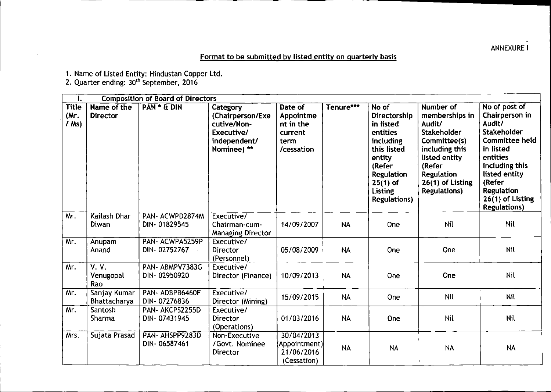## **ANNEXUREI**

## Format to be submitted by listed entity on quarterly basis

1. Name of Listed Entity: Hindustan Copper Ltd.

2. Quarter ending: 30<sup>th</sup> September, 2016

| I.                              | <b>Composition of Board of Directors</b> |                                 |                                                                                          |                                                                    |           |                                                                                                                                                                             |                                                                                                                                                                                   |                                                                                                                                                                                                                         |
|---------------------------------|------------------------------------------|---------------------------------|------------------------------------------------------------------------------------------|--------------------------------------------------------------------|-----------|-----------------------------------------------------------------------------------------------------------------------------------------------------------------------------|-----------------------------------------------------------------------------------------------------------------------------------------------------------------------------------|-------------------------------------------------------------------------------------------------------------------------------------------------------------------------------------------------------------------------|
| <b>Title</b><br>(Mr.<br>$/$ Ms) | Name of the<br><b>Director</b>           | PAN * & DIN                     | Category<br>(Chairperson/Exe<br>cutive/Non-<br>Executive/<br>independent/<br>Nominee) ** | Date of<br>Appointme<br>nt in the<br>current<br>term<br>/cessation | Tenure*** | No of<br>Directorship<br>in listed<br>entities<br>including<br>this listed<br>entity<br>(Refer<br><b>Regulation</b><br>$25(1)$ of<br><b>Listing</b><br><b>Regulations</b> ) | Number of<br>memberships in<br>Audit/<br><b>Stakeholder</b><br>Committee(s)<br>including this<br>listed entity<br>(Refer<br>Regulation<br>26(1) of Listing<br><b>Regulations)</b> | No of post of<br>Chairperson in<br>Audit/<br><b>Stakeholder</b><br><b>Committee held</b><br>in listed<br>entities<br>including this<br>listed entity<br>(Refer<br>Regulation<br>26(1) of Listing<br><b>Regulations)</b> |
| Mr.                             | Kailash Dhar<br>Diwan                    | PAN-ACWPD2874M<br>DIN-01829545  | Executive/<br>Chairman-cum-<br><b>Managing Director</b>                                  | 14/09/2007                                                         | <b>NA</b> | One                                                                                                                                                                         | Nil                                                                                                                                                                               | Nil                                                                                                                                                                                                                     |
| Mr.                             | Anupam<br>Anand                          | PAN-ACWPA5259P<br>DIN-02752767  | Executive/<br><b>Director</b><br>(Personnel)                                             | 05/08/2009                                                         | <b>NA</b> | One                                                                                                                                                                         | One                                                                                                                                                                               | <b>Nil</b>                                                                                                                                                                                                              |
| Mr.                             | V. V.<br>Venugopal<br>Rao                | PAN-ABMPV7383G<br>DIN-02950920  | Executive/<br>Director (Finance)                                                         | 10/09/2013                                                         | <b>NA</b> | One                                                                                                                                                                         | One                                                                                                                                                                               | Nil                                                                                                                                                                                                                     |
| Mr.                             | Sanjay Kumar<br>Bhattacharya             | PAN-ADBPB6460F<br>DIN-07276836  | Executive/<br>Director (Mining)                                                          | 15/09/2015                                                         | <b>NA</b> | <b>One</b>                                                                                                                                                                  | Nil                                                                                                                                                                               | Nil                                                                                                                                                                                                                     |
| Mr.                             | Santosh<br>Sharma                        | PAN- AKCPS2255D<br>DIN-07431945 | Executive/<br><b>Director</b><br>(Operations)                                            | 01/03/2016                                                         | <b>NA</b> | One                                                                                                                                                                         | Nil                                                                                                                                                                               | Nil                                                                                                                                                                                                                     |
| Mrs.                            | Sujata Prasad                            | PAN- AHSPP9283D<br>DIN-06587461 | Non-Executive<br>/Govt. Nominee<br>Director                                              | 30/04/2013<br>(Appointment)<br>21/06/2016<br>(Cessation)           | <b>NA</b> | <b>NA</b>                                                                                                                                                                   | <b>NA</b>                                                                                                                                                                         | <b>NA</b>                                                                                                                                                                                                               |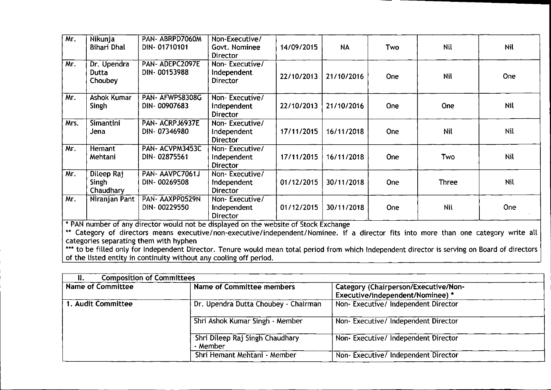| Mr.  | Nikunja<br>Bihari Dhal                  | PAN-ABRPD7060M<br>DIN-01710101                                                                                         | Non-Executive/<br>Govt. Nominee<br>Director      | 14/09/2015 | <b>NA</b>  | <b>Two</b> | <b>Nil</b> | <b>Nil</b> |
|------|-----------------------------------------|------------------------------------------------------------------------------------------------------------------------|--------------------------------------------------|------------|------------|------------|------------|------------|
| Mr.  | Dr. Upendra<br>Dutta<br>Choubey         | <b>PAN- ADEPC2097E</b><br>DIN-00153988                                                                                 | Non-Executive/<br>Independent<br>Director        | 22/10/2013 | 21/10/2016 | One        | <b>Nil</b> | One        |
| Mr.  | <b>Ashok Kumar</b><br>Singh             | PAN- AFWPS8308G<br>DIN-00907683                                                                                        | Non-Executive/<br>Independent<br><b>Director</b> | 22/10/2013 | 21/10/2016 | One        | <b>One</b> | <b>Nil</b> |
| Mrs. | Simantini<br>Jena                       | PAN-ACRPJ6937E<br>DIN-07346980                                                                                         | Non-Executive/<br>Independent<br><b>Director</b> | 17/11/2015 | 16/11/2018 | <b>One</b> | <b>Nil</b> | Nil        |
| Mr.  | Hemant<br>Mehtani                       | PAN- ACVPM3453C<br>DIN-02875561                                                                                        | Non-Executive/<br>Independent<br><b>Director</b> | 17/11/2015 | 16/11/2018 | <b>One</b> | Two        | <b>Nil</b> |
| Mr.  | Dileep Raj<br><b>Singh</b><br>Chaudhary | PAN-AAVPC7061J<br>DIN-00269508                                                                                         | Non-Executive/<br>Independent<br><b>Director</b> | 01/12/2015 | 30/11/2018 | One        | Three      | Nil        |
| Mr.  | Niranjan Pant                           | PAN-AAXPP0529N<br>DIN-00229550<br>* DAN number of any director would not be displayed as the website of Chaok Evehange | Non-Executive/<br>Independent<br>Director        | 01/12/2015 | 30/11/2018 | One        | <b>Nil</b> | <b>One</b> |

• PAN number of any director would not be displayed on the website of Stock Exchange

\*\* Category of directors means executive/non-executive/independent/Nominee. if a director fits into more than one category write all categories separating them with hyphen

\*\*\* to be filled only for Independent Director. Tenure would mean total period from which Independent director is serving on Board of director of the listed entity in continuity without any cooling off period.

| Н.                 | <b>Composition of Committees</b>            |                                                                          |  |  |  |
|--------------------|---------------------------------------------|--------------------------------------------------------------------------|--|--|--|
| Name of Committee  | Name of Committee members                   | Category (Chairperson/Executive/Non-<br>Executive/independent/Nominee) * |  |  |  |
| 1. Audit Committee | Dr. Upendra Dutta Choubey - Chairman        | Non-Executive/Independent Director                                       |  |  |  |
|                    | Shri Ashok Kumar Singh - Member             | Non-Executive/Independent Director                                       |  |  |  |
|                    | Shri Dileep Raj Singh Chaudhary<br>- Member | Non-Executive/ Independent Director                                      |  |  |  |
|                    | Shri Hemant Mehtani - Member                | Non-Executive/Independent Director                                       |  |  |  |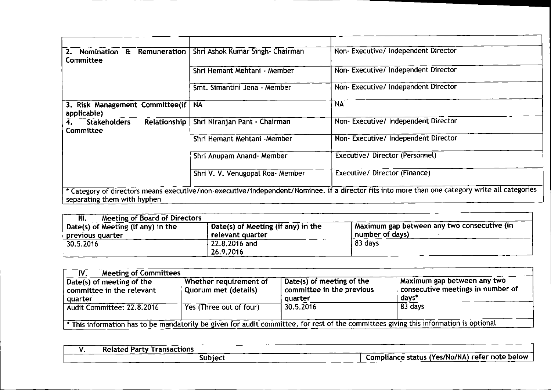| Nomination<br><b>Committee</b>                           | <b>E</b> Remuneration   Shri Ashok Kumar Singh- Chairman | Non- Executive/ Independent Director                                                                                                           |
|----------------------------------------------------------|----------------------------------------------------------|------------------------------------------------------------------------------------------------------------------------------------------------|
|                                                          | Shri Hemant Mehtani - Member                             | Non-Executive/Independent Director                                                                                                             |
|                                                          | Smt. Simantini Jena - Member                             | Non-Executive/Independent Director                                                                                                             |
| 3. Risk Management Committee(if   NA<br>applicable)      |                                                          | <b>NA</b>                                                                                                                                      |
| <b>Stakeholders</b><br>Relationship  <br>4.<br>Committee | Shri Niranjan Pant - Chairman                            | Non- Executive/ Independent Director                                                                                                           |
|                                                          | Shri Hemant Mehtani - Member                             | Non-Executive/ Independent Director                                                                                                            |
|                                                          | Shri Anupam Anand- Member                                | Executive/Director (Personnel)                                                                                                                 |
|                                                          | Shri V. V. Venugopal Roa- Member                         | Executive/ Director (Finance)                                                                                                                  |
| separating them with hyphen                              |                                                          | * Category of directors means executive/non-executive/independent/Nominee. if a director fits into more than one category write all categories |

| Meeting of Board of Directors<br>III.                  |                                                        |                                                                  |
|--------------------------------------------------------|--------------------------------------------------------|------------------------------------------------------------------|
| Date(s) of Meeting (if any) in the<br>previous quarter | Date(s) of Meeting (if any) in the<br>relevant quarter | I Maximum gap between any two consecutive (in<br>number of days) |
| 30.5.2016                                              | $^{\circ}$ 22.8.2016 and<br>26.9.2016                  | 83 days                                                          |

| <b>Meeting of Committees</b><br>IV.                                                                                                   |                                                |                                                                   |                                                                                      |  |  |
|---------------------------------------------------------------------------------------------------------------------------------------|------------------------------------------------|-------------------------------------------------------------------|--------------------------------------------------------------------------------------|--|--|
| Date(s) of meeting of the<br>committee in the relevant<br><sub>l</sub> quarter                                                        | Whether requirement of<br>Quorum met (details) | Date(s) of meeting of the<br>committee in the previous<br>quarter | Maximum gap between any two<br>$\sqrt{2}$ consecutive meetings in number of<br>davs* |  |  |
| Audit Committee: 22.8.2016                                                                                                            | Yes (Three out of four)                        | 30.5.2016                                                         | 83 days                                                                              |  |  |
| * This information has to be mandatorily be given for audit committee, for rest of the committees giving this information is optional |                                                |                                                                   |                                                                                      |  |  |

| Transactions<br><b>Related</b><br>1 Party . |                                                             |
|---------------------------------------------|-------------------------------------------------------------|
| Subject                                     | s (Yes/No/NA) refer note below<br>Compliance status<br>____ |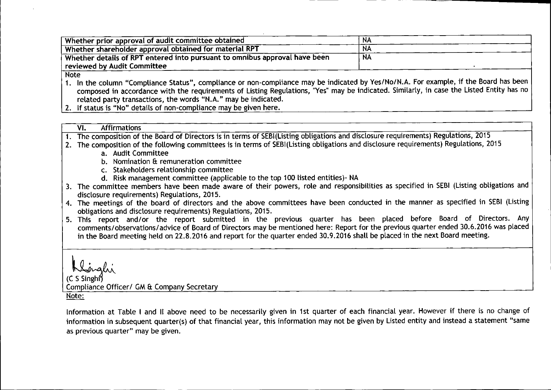| Whether prior approval of audit committee obtained                         | -NA       |
|----------------------------------------------------------------------------|-----------|
| Whether shareholder approval obtained for material RPT                     | N4        |
| Whether details of RPT entered into pursuant to omnibus approval have been | <b>NA</b> |
| $^\text{\tiny{l}}$ reviewed by Audit Committee $^\text{\tiny{l}}$          |           |
|                                                                            |           |

Note

1. In the column "Compliance Status", compliance or non-compliance may be indicated by Yes/No/N.A. For example, if the Board has been composed in accordance with the requirements of Listing Regulations, "Yes" may be indicated. Similarly, in case the Listed Entity has no related party transactions, the words "N.A." may be indicated

2. If status is "No" details of non-compliance may be given here

| VI. | Affirmations |  |
|-----|--------------|--|
|     |              |  |

closure requirements) Regulations, 2015 osition of the Board of Directors is in terms of SEBI(Listing obligations and di 1. The com

- 2. The composition of the following committees is in terms of SEBI(Listing obligations and disclosure requirements) Regulations, 2015
	- a. Audit Committe
	- b.  $\,$  Nomination & remuneration committe
	- c. Stakeholders relationship committe
	- d.Risk management committee (applicable to the top 100 listed entities)- NA
- 3. The committee members have been made aware of their powers, role and responsibilities as specified in SEBI (Listing obligations and disclosure requirements) Regulations, 2015.
- 4. The meetings of the board of directors and the above committees have been conducted in the manner as specified in SEBI (Listing obligations and disclosure requirements) Regulations, 2015.
- 5. This report and/or the report submitted in the previous quarter has been placed before Board of Directors. Any comments/observations/advice of Board of Directors may be mentioned here: Report for the previous quarter ended 30.6.2016 was placed in the Board meeting held on 22.8.2016 and report for the quarter ended 30.9.2016 shall be placed in the next Board meeting

l*<sup>0</sup> ~. \_ O. :* یسی<br>C S Sir)

Compliance Officer/ GM & Company Secretar

Note:

Information at Table I and II above need to be necessarily given in 1st quarter of each financial year. However if there is no change of information in subsequent quarter(s) of that financial year, this information may not be given by Listed entity and instead a statement "same as previous quarter" may be given